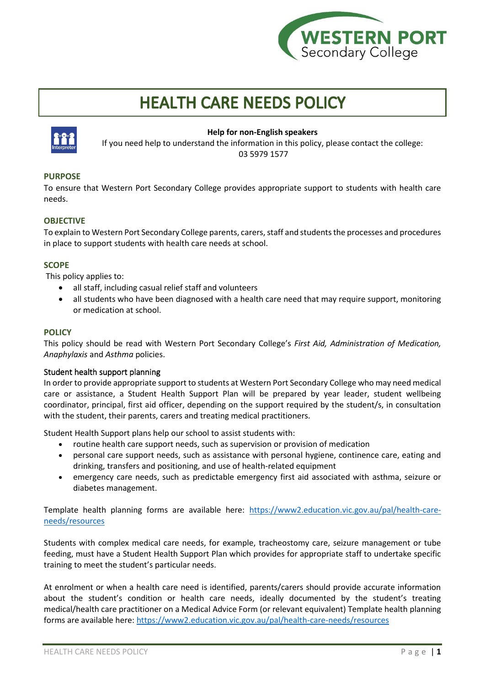

# **HEALTH CARE NEEDS POLICY**



## **Help for non-English speakers**

If you need help to understand the information in this policy, please contact the college: 03 5979 1577

# **PURPOSE**

To ensure that Western Port Secondary College provides appropriate support to students with health care needs.

# **OBJECTIVE**

To explain to Western Port Secondary College parents, carers, staff and students the processes and procedures in place to support students with health care needs at school.

## **SCOPE**

This policy applies to:

- all staff, including casual relief staff and volunteers
- all students who have been diagnosed with a health care need that may require support, monitoring or medication at school.

### **POLICY**

This policy should be read with Western Port Secondary College's *First Aid, Administration of Medication, Anaphylaxis* and *Asthma* policies.

## Student health support planning

In order to provide appropriate support to students at Western Port Secondary College who may need medical care or assistance, a Student Health Support Plan will be prepared by year leader, student wellbeing coordinator, principal, first aid officer, depending on the support required by the student/s, in consultation with the student, their parents, carers and treating medical practitioners.

Student Health Support plans help our school to assist students with:

- routine health care support needs, such as supervision or provision of medication
- personal care support needs, such as assistance with personal hygiene, continence care, eating and drinking, transfers and positioning, and use of health-related equipment
- emergency care needs, such as predictable emergency first aid associated with asthma, seizure or diabetes management.

Template health planning forms are available here: [https://www2.education.vic.gov.au/pal/health-care](https://www2.education.vic.gov.au/pal/health-care-needs/resources)[needs/resources](https://www2.education.vic.gov.au/pal/health-care-needs/resources)

Students with complex medical care needs, for example, tracheostomy care, seizure management or tube feeding, must have a Student Health Support Plan which provides for appropriate staff to undertake specific training to meet the student's particular needs.

At enrolment or when a health care need is identified, parents/carers should provide accurate information about the student's condition or health care needs, ideally documented by the student's treating medical/health care practitioner on a Medical Advice Form (or relevant equivalent) Template health planning forms are available here[: https://www2.education.vic.gov.au/pal/health-care-needs/resources](https://www2.education.vic.gov.au/pal/health-care-needs/resources)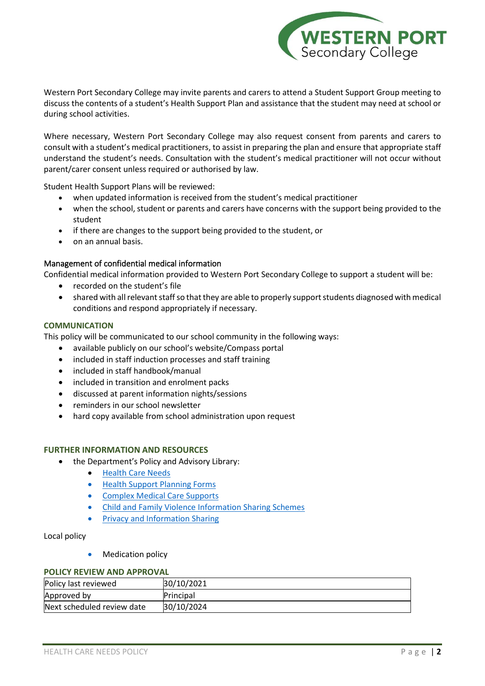

Western Port Secondary College may invite parents and carers to attend a Student Support Group meeting to discuss the contents of a student's Health Support Plan and assistance that the student may need at school or during school activities.

Where necessary, Western Port Secondary College may also request consent from parents and carers to consult with a student's medical practitioners, to assist in preparing the plan and ensure that appropriate staff understand the student's needs. Consultation with the student's medical practitioner will not occur without parent/carer consent unless required or authorised by law.

Student Health Support Plans will be reviewed:

- when updated information is received from the student's medical practitioner
- when the school, student or parents and carers have concerns with the support being provided to the student
- if there are changes to the support being provided to the student, or
- on an annual basis.

### Management of confidential medical information

Confidential medical information provided to Western Port Secondary College to support a student will be:

- recorded on the student's file
- shared with all relevant staff so that they are able to properly support students diagnosed with medical conditions and respond appropriately if necessary.

#### **COMMUNICATION**

This policy will be communicated to our school community in the following ways:

- available publicly on our school's website/Compass portal
- included in staff induction processes and staff training
- included in staff handbook/manual
- included in transition and enrolment packs
- discussed at parent information nights/sessions
- reminders in our school newsletter
- hard copy available from school administration upon request

#### **FURTHER INFORMATION AND RESOURCES**

- the Department's Policy and Advisory Library:
	- [Health Care Needs](https://www2.education.vic.gov.au/pal/health-care-needs/policy)
	- [Health Support Planning Forms](https://www2.education.vic.gov.au/pal/health-care-needs/resources)
	- [Complex Medical Care Supports](https://www2.education.vic.gov.au/pal/health-care-needs/guidance/complex-medical-care-supports)
	- [Child and Family Violence Information Sharing Schemes](https://www2.education.vic.gov.au/pal/information-sharing-schemes/policy)
	- [Privacy and Information Sharing](https://www2.education.vic.gov.au/pal/privacy-information-sharing/policy)

#### Local policy

• Medication policy

#### **POLICY REVIEW AND APPROVAL**

| Policy last reviewed       | 30/10/2021 |
|----------------------------|------------|
| Approved by                | Principal  |
| Next scheduled review date | 30/10/2024 |